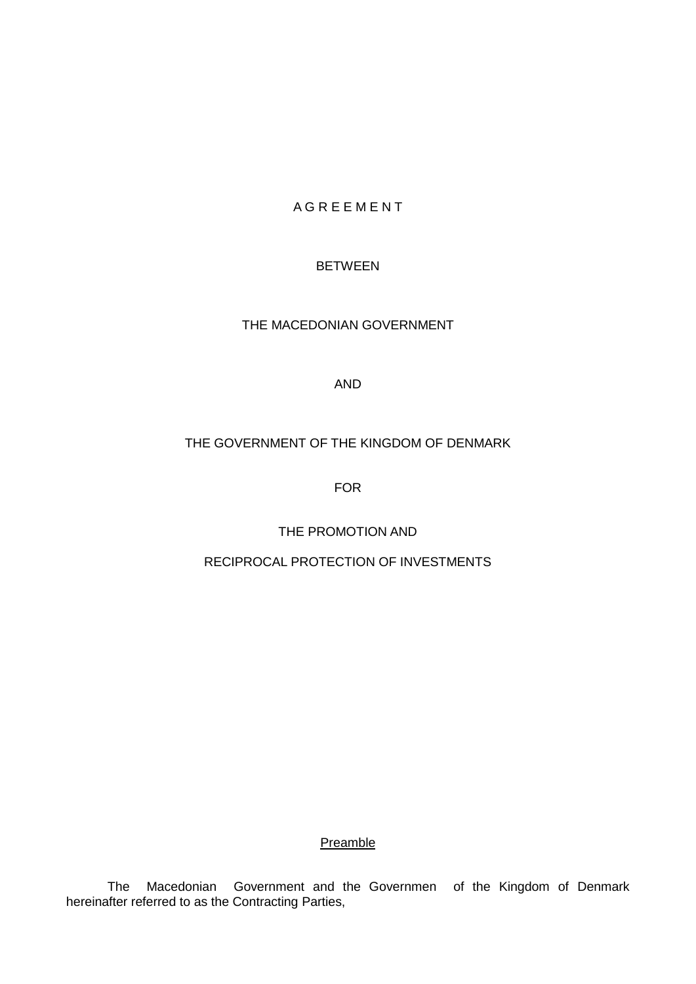# **A G R E E M E N T**

# BETWEEN

THE MACEDONIAN GOVERNMENT

#### AND

# THE GOVERNMENT OF THE KINGDOM OF DENMARK

FOR

THE PROMOTION AND

RECIPROCAL PROTECTION OF INVESTMENTS

**Preamble** 

The Macedonian Government and the Governmen of the Kingdom of Denmark hereinafter referred to as the Contracting Parties,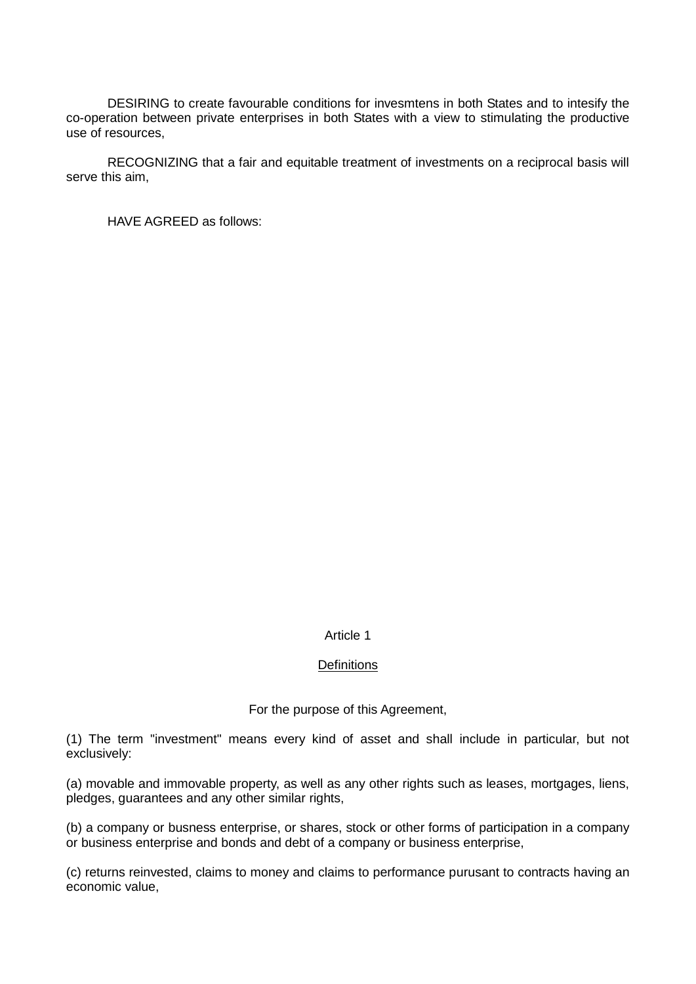DESIRING to create favourable conditions for invesmtens in both States and to intesify the co-operation between private enterprises in both States with a view to stimulating the productive use of resources,

RECOGNIZING that a fair and equitable treatment of investments on a reciprocal basis will serve this aim,

HAVE AGREED as follows:

# Article 1

#### **Definitions**

For the purpose of this Agreement,

(1) The term "investment" means every kind of asset and shall include in particular, but not exclusively:

(a) movable and immovable property, as well as any other rights such as leases, mortgages, liens, pledges, guarantees and any other similar rights,

(b) a company or busness enterprise, or shares, stock or other forms of participation in a company or business enterprise and bonds and debt of a company or business enterprise,

(c) returns reinvested, claims to money and claims to performance purusant to contracts having an economic value,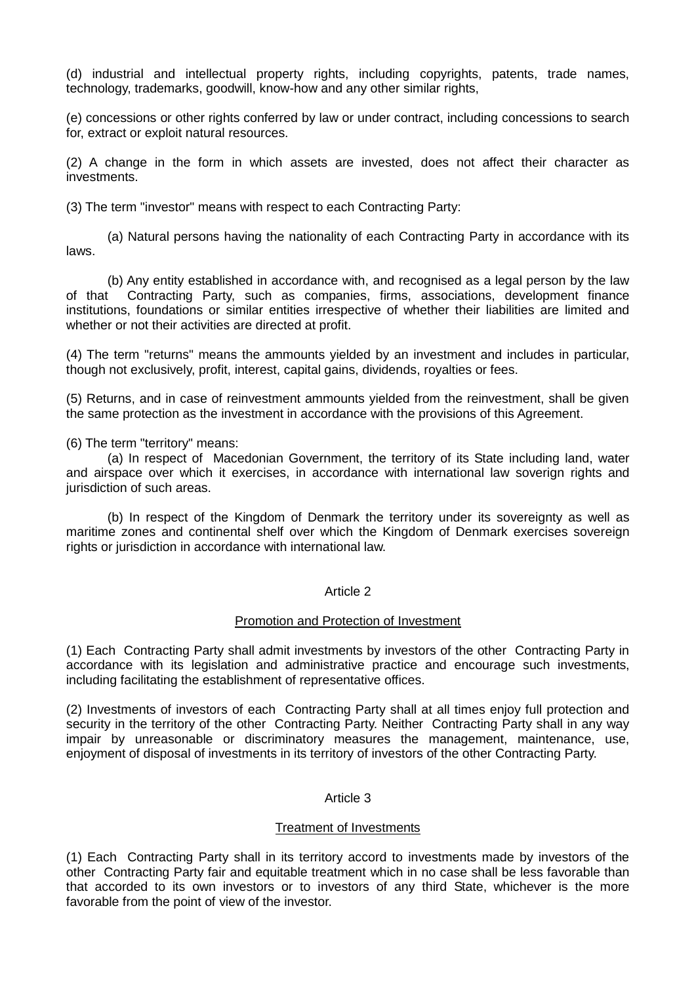(d) industrial and intellectual property rights, including copyrights, patents, trade names, technology, trademarks, goodwill, know-how and any other similar rights,

(e) concessions or other rights conferred by law or under contract, including concessions to search for, extract or exploit natural resources.

(2) A change in the form in which assets are invested, does not affect their character as investments.

(3) The term "investor" means with respect to each Contracting Party:

(a) Natural persons having the nationality of each Contracting Party in accordance with its laws.

(b) Any entity established in accordance with, and recognised as a legal person by the law of that Contracting Party, such as companies, firms, associations, development finance institutions, foundations or similar entities irrespective of whether their liabilities are limited and whether or not their activities are directed at profit.

(4) The term "returns" means the ammounts yielded by an investment and includes in particular, though not exclusively, profit, interest, capital gains, dividends, royalties or fees.

(5) Returns, and in case of reinvestment ammounts yielded from the reinvestment, shall be given the same protection as the investment in accordance with the provisions of this Agreement.

(6) The term "territory" means:

(a) In respect of Macedonian Government, the territory of its State including land, water and airspace over which it exercises, in accordance with international law soverign rights and jurisdiction of such areas.

(b) In respect of the Kingdom of Denmark the territory under its sovereignty as well as maritime zones and continental shelf over which the Kingdom of Denmark exercises sovereign rights or jurisdiction in accordance with international law.

#### Article 2

#### Promotion and Protection of Investment

(1) Each Contracting Party shall admit investments by investors of the other Contracting Party in accordance with its legislation and administrative practice and encourage such investments, including facilitating the establishment of representative offices.

(2) Investments of investors of each Contracting Party shall at all times enjoy full protection and security in the territory of the other Contracting Party. Neither Contracting Party shall in any way impair by unreasonable or discriminatory measures the management, maintenance, use, enjoyment of disposal of investments in its territory of investors of the other Contracting Party.

#### Article 3

#### Treatment of Investments

(1) Each Contracting Party shall in its territory accord to investments made by investors of the other Contracting Party fair and equitable treatment which in no case shall be less favorable than that accorded to its own investors or to investors of any third State, whichever is the more favorable from the point of view of the investor.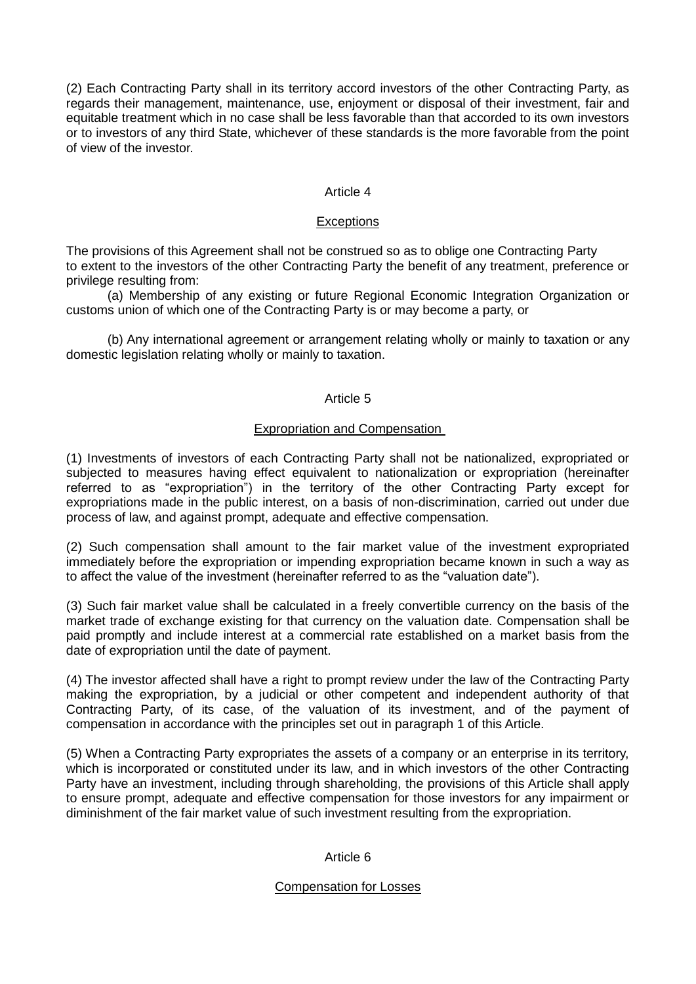(2) Each Contracting Party shall in its territory accord investors of the other Contracting Party, as regards their management, maintenance, use, enjoyment or disposal of their investment, fair and equitable treatment which in no case shall be less favorable than that accorded to its own investors or to investors of any third State, whichever of these standards is the more favorable from the point of view of the investor.

## Article 4

### **Exceptions**

The provisions of this Agreement shall not be construed so as to oblige one Contracting Party to extent to the investors of the other Contracting Party the benefit of any treatment, preference or privilege resulting from:

(a) Membership of any existing or future Regional Economic Integration Organization or customs union of which one of the Contracting Party is or may become a party, or

(b) Any international agreement or arrangement relating wholly or mainly to taxation or any domestic legislation relating wholly or mainly to taxation.

## Article 5

# Expropriation and Compensation

(1) Investments of investors of each Contracting Party shall not be nationalized, expropriated or subjected to measures having effect equivalent to nationalization or expropriation (hereinafter referred to as "expropriation") in the territory of the other Contracting Party except for expropriations made in the public interest, on a basis of non-discrimination, carried out under due process of law, and against prompt, adequate and effective compensation.

(2) Such compensation shall amount to the fair market value of the investment expropriated immediately before the expropriation or impending expropriation became known in such a way as to affect the value of the investment (hereinafter referred to as the "valuation date").

(3) Such fair market value shall be calculated in a freely convertible currency on the basis of the market trade of exchange existing for that currency on the valuation date. Compensation shall be paid promptly and include interest at a commercial rate established on a market basis from the date of expropriation until the date of payment.

(4) The investor affected shall have a right to prompt review under the law of the Contracting Party making the expropriation, by a judicial or other competent and independent authority of that Contracting Party, of its case, of the valuation of its investment, and of the payment of compensation in accordance with the principles set out in paragraph 1 of this Article.

(5) When a Contracting Party expropriates the assets of a company or an enterprise in its territory, which is incorporated or constituted under its law, and in which investors of the other Contracting Party have an investment, including through shareholding, the provisions of this Article shall apply to ensure prompt, adequate and effective compensation for those investors for any impairment or diminishment of the fair market value of such investment resulting from the expropriation.

#### Article 6

#### Compensation for Losses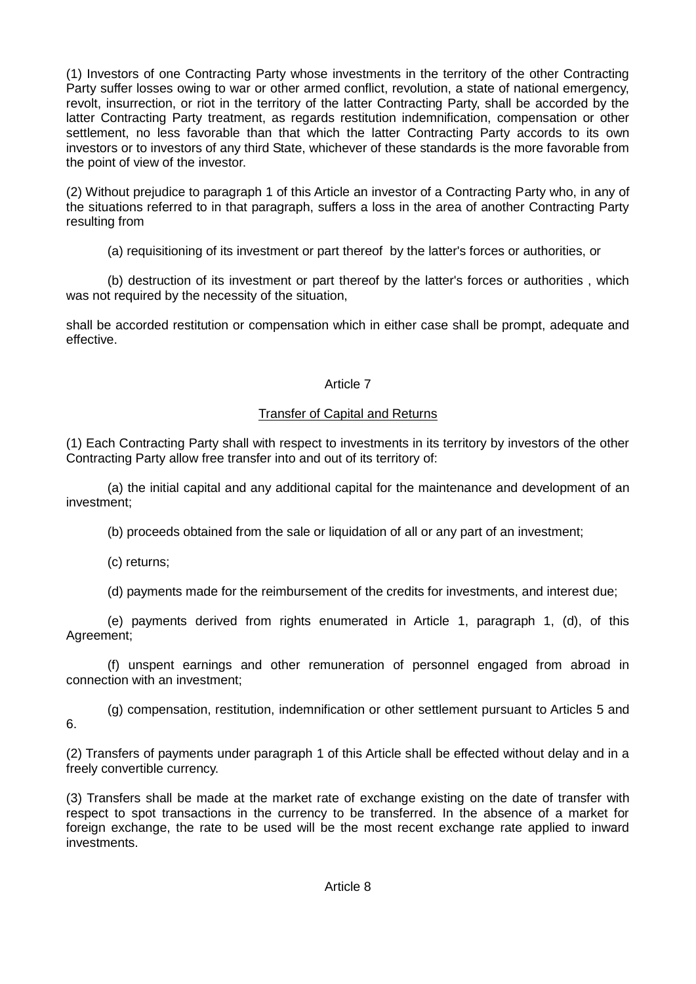(1) Investors of one Contracting Party whose investments in the territory of the other Contracting Party suffer losses owing to war or other armed conflict, revolution, a state of national emergency, revolt, insurrection, or riot in the territory of the latter Contracting Party, shall be accorded by the latter Contracting Party treatment, as regards restitution indemnification, compensation or other settlement, no less favorable than that which the latter Contracting Party accords to its own investors or to investors of any third State, whichever of these standards is the more favorable from the point of view of the investor.

(2) Without prejudice to paragraph 1 of this Article an investor of a Contracting Party who, in any of the situations referred to in that paragraph, suffers a loss in the area of another Contracting Party resulting from

(a) requisitioning of its investment or part thereof by the latter's forces or authorities, or

(b) destruction of its investment or part thereof by the latter's forces or authorities , which was not required by the necessity of the situation.

shall be accorded restitution or compensation which in either case shall be prompt, adequate and effective.

# Article 7

# Transfer of Capital and Returns

(1) Each Contracting Party shall with respect to investments in its territory by investors of the other Contracting Party allow free transfer into and out of its territory of:

(a) the initial capital and any additional capital for the maintenance and development of an investment;

(b) proceeds obtained from the sale or liquidation of all or any part of an investment;

(c) returns;

(d) payments made for the reimbursement of the credits for investments, and interest due;

(e) payments derived from rights enumerated in Article 1, paragraph 1, (d), of this Agreement;

(f) unspent earnings and other remuneration of personnel engaged from abroad in connection with an investment;

(g) compensation, restitution, indemnification or other settlement pursuant to Articles 5 and 6.

(2) Transfers of payments under paragraph 1 of this Article shall be effected without delay and in a freely convertible currency.

(3) Transfers shall be made at the market rate of exchange existing on the date of transfer with respect to spot transactions in the currency to be transferred. In the absence of a market for foreign exchange, the rate to be used will be the most recent exchange rate applied to inward investments.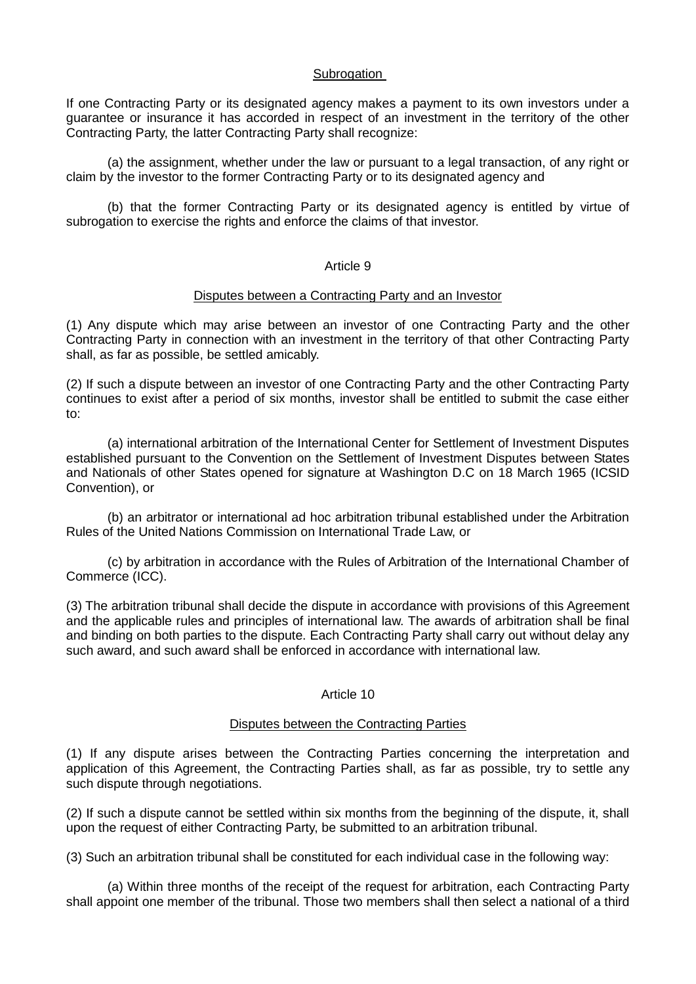## **Subrogation**

If one Contracting Party or its designated agency makes a payment to its own investors under a guarantee or insurance it has accorded in respect of an investment in the territory of the other Contracting Party, the latter Contracting Party shall recognize:

(a) the assignment, whether under the law or pursuant to a legal transaction, of any right or claim by the investor to the former Contracting Party or to its designated agency and

(b) that the former Contracting Party or its designated agency is entitled by virtue of subrogation to exercise the rights and enforce the claims of that investor.

#### Article 9

#### Disputes between a Contracting Party and an Investor

(1) Any dispute which may arise between an investor of one Contracting Party and the other Contracting Party in connection with an investment in the territory of that other Contracting Party shall, as far as possible, be settled amicably.

(2) If such a dispute between an investor of one Contracting Party and the other Contracting Party continues to exist after a period of six months, investor shall be entitled to submit the case either to:

(a) international arbitration of the International Center for Settlement of Investment Disputes established pursuant to the Convention on the Settlement of Investment Disputes between States and Nationals of other States opened for signature at Washington D.C on 18 March 1965 (ICSID Convention), or

(b) an arbitrator or international ad hoc arbitration tribunal established under the Arbitration Rules of the United Nations Commission on International Trade Law, or

(c) by arbitration in accordance with the Rules of Arbitration of the International Chamber of Commerce (ICC).

(3) The arbitration tribunal shall decide the dispute in accordance with provisions of this Agreement and the applicable rules and principles of international law. The awards of arbitration shall be final and binding on both parties to the dispute. Each Contracting Party shall carry out without delay any such award, and such award shall be enforced in accordance with international law.

#### Article 10

#### Disputes between the Contracting Parties

(1) If any dispute arises between the Contracting Parties concerning the interpretation and application of this Agreement, the Contracting Parties shall, as far as possible, try to settle any such dispute through negotiations.

(2) If such a dispute cannot be settled within six months from the beginning of the dispute, it, shall upon the request of either Contracting Party, be submitted to an arbitration tribunal.

(3) Such an arbitration tribunal shall be constituted for each individual case in the following way:

(a) Within three months of the receipt of the request for arbitration, each Contracting Party shall appoint one member of the tribunal. Those two members shall then select a national of a third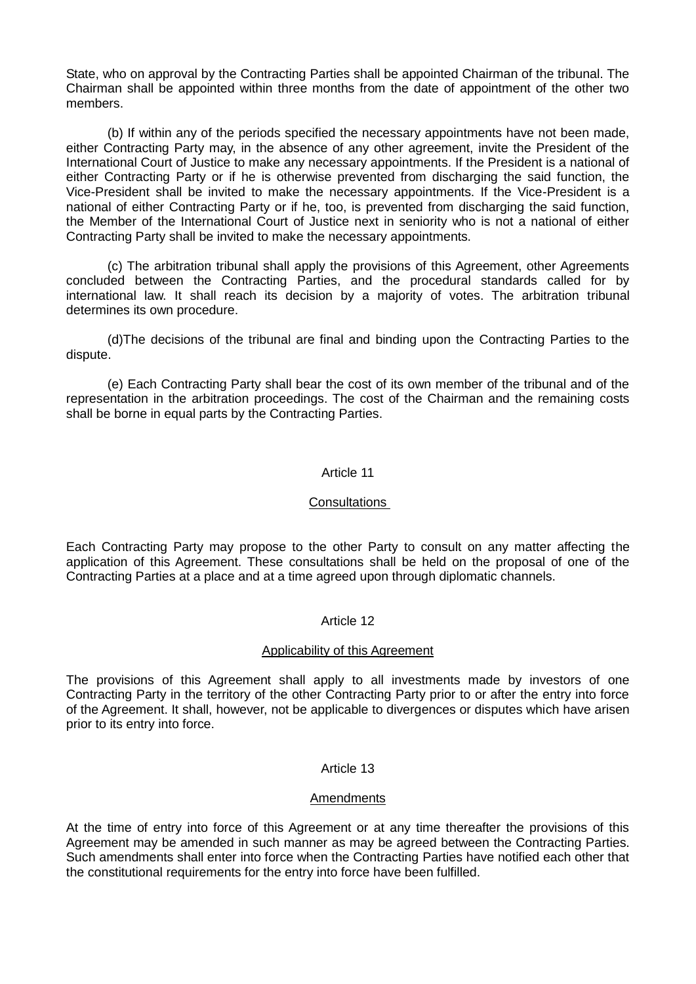State, who on approval by the Contracting Parties shall be appointed Chairman of the tribunal. The Chairman shall be appointed within three months from the date of appointment of the other two members.

(b) If within any of the periods specified the necessary appointments have not been made, either Contracting Party may, in the absence of any other agreement, invite the President of the International Court of Justice to make any necessary appointments. If the President is a national of either Contracting Party or if he is otherwise prevented from discharging the said function, the Vice-President shall be invited to make the necessary appointments. If the Vice-President is a national of either Contracting Party or if he, too, is prevented from discharging the said function, the Member of the International Court of Justice next in seniority who is not a national of either Contracting Party shall be invited to make the necessary appointments.

(c) The arbitration tribunal shall apply the provisions of this Agreement, other Agreements concluded between the Contracting Parties, and the procedural standards called for by international law. It shall reach its decision by a majority of votes. The arbitration tribunal determines its own procedure.

(d)The decisions of the tribunal are final and binding upon the Contracting Parties to the dispute.

(e) Each Contracting Party shall bear the cost of its own member of the tribunal and of the representation in the arbitration proceedings. The cost of the Chairman and the remaining costs shall be borne in equal parts by the Contracting Parties.

# Article 11

#### Consultations

Each Contracting Party may propose to the other Party to consult on any matter affecting the application of this Agreement. These consultations shall be held on the proposal of one of the Contracting Parties at a place and at a time agreed upon through diplomatic channels.

# Article 12

### Applicability of this Agreement

The provisions of this Agreement shall apply to all investments made by investors of one Contracting Party in the territory of the other Contracting Party prior to or after the entry into force of the Agreement. It shall, however, not be applicable to divergences or disputes which have arisen prior to its entry into force.

# Article 13

#### **Amendments**

At the time of entry into force of this Agreement or at any time thereafter the provisions of this Agreement may be amended in such manner as may be agreed between the Contracting Parties. Such amendments shall enter into force when the Contracting Parties have notified each other that the constitutional requirements for the entry into force have been fulfilled.